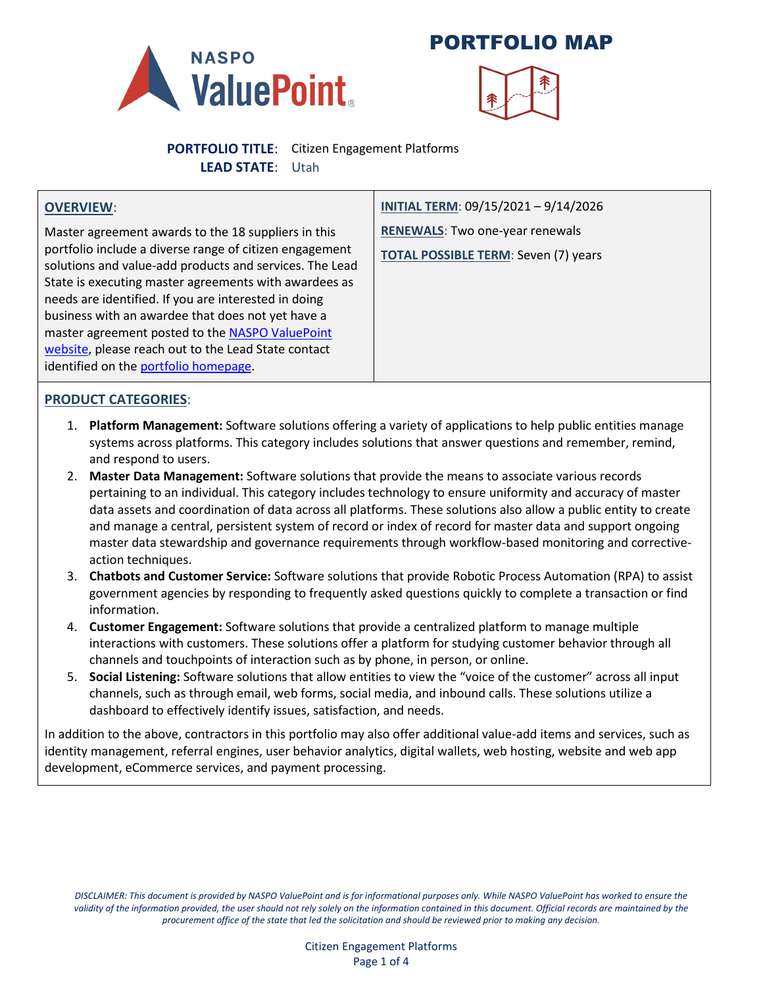

PORTFOLIO MAP



**PORTFOLIO TITLE**: Citizen Engagement Platforms **LEAD STATE**: Utah

#### **OVERVIEW**:

Master agreement awards to the 18 suppliers in this portfolio include a diverse range of citizen engagement solutions and value-add products and services. The Lead State is executing master agreements with awardees as needs are identified. If you are interested in doing business with an awardee that does not yet have a master agreement posted to the **NASPO ValuePoint** [website,](https://www.naspovaluepoint.org/portfolio/citizen-engagement-platforms/#contracts) please reach out to the Lead State contact identified on th[e portfolio homepage.](https://www.naspovaluepoint.org/portfolio/citizen-engagement-platforms/)

**INITIAL TERM**: 09/15/2021 – 9/14/2026 **RENEWALS**: Two one-year renewals **TOTAL POSSIBLE TERM**: Seven (7) years

### **PRODUCT CATEGORIES**:

- 1. **Platform Management:** Software solutions offering a variety of applications to help public entities manage systems across platforms. This category includes solutions that answer questions and remember, remind, and respond to users.
- 2. **Master Data Management:** Software solutions that provide the means to associate various records pertaining to an individual. This category includes technology to ensure uniformity and accuracy of master data assets and coordination of data across all platforms. These solutions also allow a public entity to create and manage a central, persistent system of record or index of record for master data and support ongoing master data stewardship and governance requirements through workflow-based monitoring and correctiveaction techniques.
- 3. **Chatbots and Customer Service:** Software solutions that provide Robotic Process Automation (RPA) to assist government agencies by responding to frequently asked questions quickly to complete a transaction or find information.
- 4. **Customer Engagement:** Software solutions that provide a centralized platform to manage multiple interactions with customers. These solutions offer a platform for studying customer behavior through all channels and touchpoints of interaction such as by phone, in person, or online.
- 5. **Social Listening:** Software solutions that allow entities to view the "voice of the customer" across all input channels, such as through email, web forms, social media, and inbound calls. These solutions utilize a dashboard to effectively identify issues, satisfaction, and needs.

In addition to the above, contractors in this portfolio may also offer additional value-add items and services, such as identity management, referral engines, user behavior analytics, digital wallets, web hosting, website and web app development, eCommerce services, and payment processing.

*DISCLAIMER: This document is provided by NASPO ValuePoint and is for informational purposes only. While NASPO ValuePoint has worked to ensure the validity of the information provided, the user should not rely solely on the information contained in this document. Official records are maintained by the procurement office of the state that led the solicitation and should be reviewed prior to making any decision.*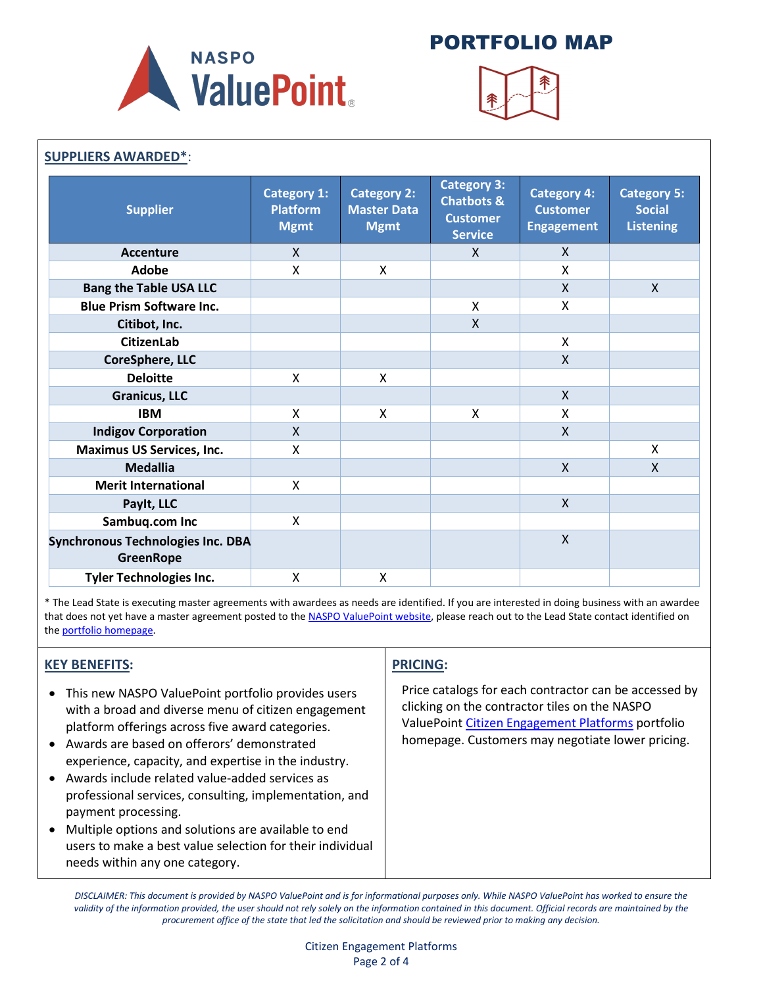

# PORTFOLIO MAP



| <b>SUPPLIERS AWARDED*:</b>                                   |                                                      |                                                         |                                                                                  |                                                            |                                                         |
|--------------------------------------------------------------|------------------------------------------------------|---------------------------------------------------------|----------------------------------------------------------------------------------|------------------------------------------------------------|---------------------------------------------------------|
| <b>Supplier</b>                                              | <b>Category 1:</b><br><b>Platform</b><br><b>Mgmt</b> | <b>Category 2:</b><br><b>Master Data</b><br><b>Mgmt</b> | <b>Category 3:</b><br><b>Chatbots &amp;</b><br><b>Customer</b><br><b>Service</b> | <b>Category 4:</b><br><b>Customer</b><br><b>Engagement</b> | <b>Category 5:</b><br><b>Social</b><br><b>Listening</b> |
| <b>Accenture</b>                                             | $\mathsf{X}$                                         |                                                         | X                                                                                | X                                                          |                                                         |
| <b>Adobe</b>                                                 | X                                                    | X                                                       |                                                                                  | Χ                                                          |                                                         |
| <b>Bang the Table USA LLC</b>                                |                                                      |                                                         |                                                                                  | X.                                                         | $\mathsf{X}$                                            |
| <b>Blue Prism Software Inc.</b>                              |                                                      |                                                         | X                                                                                | X                                                          |                                                         |
| Citibot, Inc.                                                |                                                      |                                                         | X                                                                                |                                                            |                                                         |
| <b>CitizenLab</b>                                            |                                                      |                                                         |                                                                                  | X                                                          |                                                         |
| <b>CoreSphere, LLC</b>                                       |                                                      |                                                         |                                                                                  | X                                                          |                                                         |
| <b>Deloitte</b>                                              | X                                                    | Χ                                                       |                                                                                  |                                                            |                                                         |
| <b>Granicus, LLC</b>                                         |                                                      |                                                         |                                                                                  | $\mathsf{X}$                                               |                                                         |
| <b>IBM</b>                                                   | X                                                    | X                                                       | X                                                                                | Χ                                                          |                                                         |
| <b>Indigov Corporation</b>                                   | $\mathsf{x}$                                         |                                                         |                                                                                  | $\mathsf{X}$                                               |                                                         |
| <b>Maximus US Services, Inc.</b>                             | X                                                    |                                                         |                                                                                  |                                                            | X                                                       |
| <b>Medallia</b>                                              |                                                      |                                                         |                                                                                  | $\mathsf{X}$                                               | $\mathsf{X}$                                            |
| <b>Merit International</b>                                   | X                                                    |                                                         |                                                                                  |                                                            |                                                         |
| Paylt, LLC                                                   |                                                      |                                                         |                                                                                  | $\mathsf{X}$                                               |                                                         |
| Sambuq.com Inc                                               | X                                                    |                                                         |                                                                                  |                                                            |                                                         |
| <b>Synchronous Technologies Inc. DBA</b><br><b>GreenRope</b> |                                                      |                                                         |                                                                                  | $\mathsf{X}$                                               |                                                         |
| <b>Tyler Technologies Inc.</b>                               | X                                                    | X                                                       |                                                                                  |                                                            |                                                         |

\* The Lead State is executing master agreements with awardees as needs are identified. If you are interested in doing business with an awardee that does not yet have a master agreement posted to th[e NASPO ValuePoint website,](https://www.naspovaluepoint.org/portfolio/citizen-engagement-platforms/#contracts) please reach out to the Lead State contact identified on the [portfolio homepage.](https://www.naspovaluepoint.org/portfolio/citizen-engagement-platforms/)

### **KEY BENEFITS:**

- This new NASPO ValuePoint portfolio provides users with a broad and diverse menu of citizen engagement platform offerings across five award categories.
- Awards are based on offerors' demonstrated experience, capacity, and expertise in the industry.
- Awards include related value-added services as professional services, consulting, implementation, and payment processing.
- Multiple options and solutions are available to end users to make a best value selection for their individual needs within any one category.

### **PRICING:**

Price catalogs for each contractor can be accessed by clicking on the contractor tiles on the NASPO ValuePoint [Citizen Engagement Platforms](https://www.naspovaluepoint.org/portfolio/citizen-engagement-platforms/) portfolio homepage. Customers may negotiate lower pricing.

*DISCLAIMER: This document is provided by NASPO ValuePoint and is for informational purposes only. While NASPO ValuePoint has worked to ensure the validity of the information provided, the user should not rely solely on the information contained in this document. Official records are maintained by the procurement office of the state that led the solicitation and should be reviewed prior to making any decision.*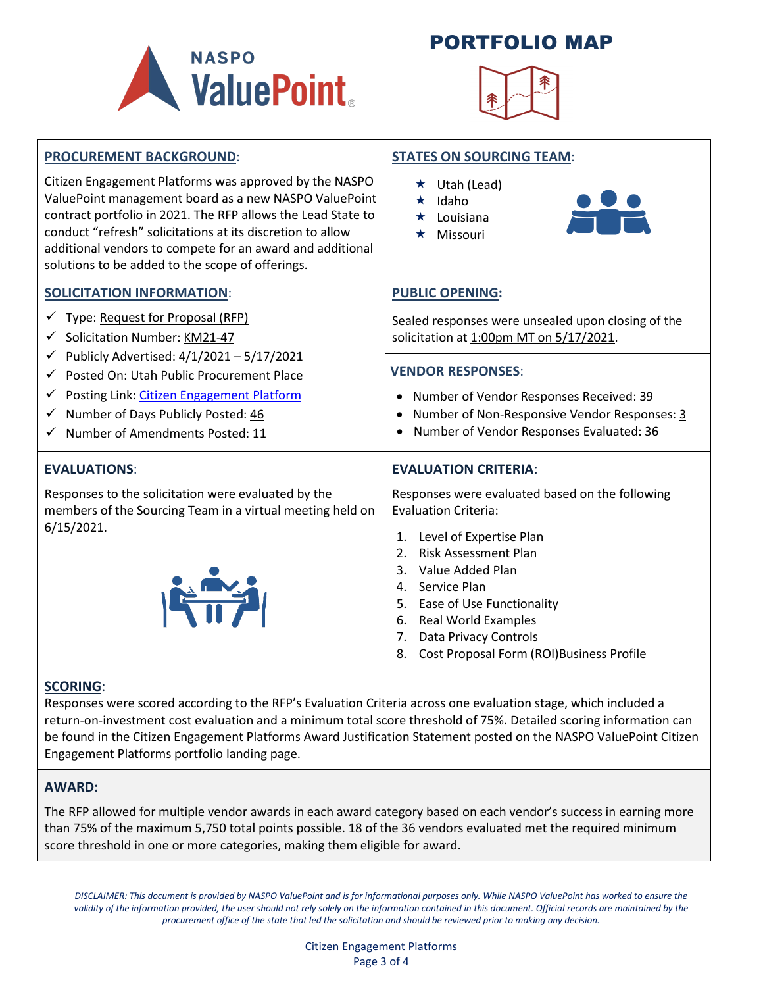





| <b>PROCUREMENT BACKGROUND:</b><br>Citizen Engagement Platforms was approved by the NASPO<br>ValuePoint management board as a new NASPO ValuePoint<br>contract portfolio in 2021. The RFP allows the Lead State to<br>conduct "refresh" solicitations at its discretion to allow<br>additional vendors to compete for an award and additional<br>solutions to be added to the scope of offerings. | <b>STATES ON SOURCING TEAM:</b><br>$\star$ Utah (Lead)<br>Idaho<br>Louisiana<br>Missouri                                                                                                                                                                                                                                                                                                        |  |  |
|--------------------------------------------------------------------------------------------------------------------------------------------------------------------------------------------------------------------------------------------------------------------------------------------------------------------------------------------------------------------------------------------------|-------------------------------------------------------------------------------------------------------------------------------------------------------------------------------------------------------------------------------------------------------------------------------------------------------------------------------------------------------------------------------------------------|--|--|
| <b>SOLICITATION INFORMATION:</b><br>√ Type: Request for Proposal (RFP)<br>Solicitation Number: KM21-47                                                                                                                                                                                                                                                                                           | <b>PUBLIC OPENING:</b><br>Sealed responses were unsealed upon closing of the<br>solicitation at 1:00pm MT on 5/17/2021.                                                                                                                                                                                                                                                                         |  |  |
| V Publicly Advertised: $4/1/2021 - 5/17/2021$<br>Posted On: Utah Public Procurement Place<br>Posting Link: Citizen Engagement Platform<br>$\checkmark$<br>Number of Days Publicly Posted: 46<br>✓<br>$\checkmark$ Number of Amendments Posted: 11                                                                                                                                                | <b>VENDOR RESPONSES:</b><br>Number of Vendor Responses Received: 39<br>Number of Non-Responsive Vendor Responses: 3<br>Number of Vendor Responses Evaluated: 36                                                                                                                                                                                                                                 |  |  |
| <b>EVALUATIONS:</b><br>Responses to the solicitation were evaluated by the<br>members of the Sourcing Team in a virtual meeting held on<br>$6/15/2021$ .<br>Kind                                                                                                                                                                                                                                 | <b>EVALUATION CRITERIA:</b><br>Responses were evaluated based on the following<br><b>Evaluation Criteria:</b><br>Level of Expertise Plan<br>1.<br><b>Risk Assessment Plan</b><br>2.<br>3.<br>Value Added Plan<br>4. Service Plan<br>Ease of Use Functionality<br>5.<br><b>Real World Examples</b><br>6.<br><b>Data Privacy Controls</b><br>7.<br>Cost Proposal Form (ROI)Business Profile<br>8. |  |  |

### **SCORING**:

Responses were scored according to the RFP's Evaluation Criteria across one evaluation stage, which included a return-on-investment cost evaluation and a minimum total score threshold of 75%. Detailed scoring information can be found in the Citizen Engagement Platforms Award Justification Statement posted on the NASPO ValuePoint Citizen Engagement Platforms portfolio landing page.

### **AWARD:**

The RFP allowed for multiple vendor awards in each award category based on each vendor's success in earning more than 75% of the maximum 5,750 total points possible. 18 of the 36 vendors evaluated met the required minimum score threshold in one or more categories, making them eligible for award.

*DISCLAIMER: This document is provided by NASPO ValuePoint and is for informational purposes only. While NASPO ValuePoint has worked to ensure the*  validity of the information provided, the user should not rely solely on the information contained in this document. Official records are maintained by the *procurement office of the state that led the solicitation and should be reviewed prior to making any decision.*